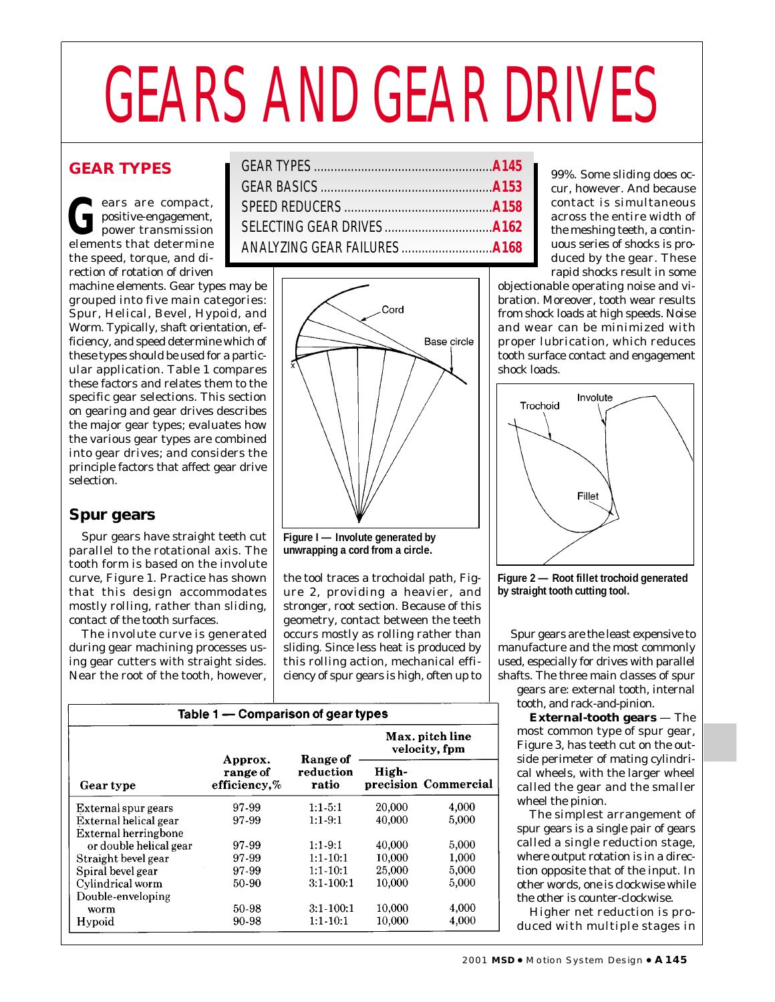# GEARS AND GEAR DRIVES

# **GEAR TYPES**

ears are compact,<br>positive-engagement,<br>power transmission<br>elements that determine positive-engagement, power transmission elements that determine the speed, torque, and direction of rotation of driven

machine elements. Gear types may be grouped into five main categories: Spur, Helical, Bevel, Hypoid, and Worm. Typically, shaft orientation, efficiency, and speed determine which of these types should be used for a particular application. Table 1 compares these factors and relates them to the specific gear selections. This section on gearing and gear drives describes the major gear types; evaluates how the various gear types are combined into gear drives; and considers the principle factors that affect gear drive selection.

# **Spur gears**

Spur gears have straight teeth cut parallel to the rotational axis. The tooth form is based on the involute curve, Figure 1. Practice has shown that this design accommodates mostly rolling, rather than sliding, contact of the tooth surfaces.

The involute curve is generated during gear machining processes using gear cutters with straight sides. Near the root of the tooth, however,



**Figure I — Involute generated by unwrapping a cord from a circle.**

the tool traces a trochoidal path, Figure 2, providing a heavier, and stronger, root section. Because of this geometry, contact between the teeth occurs mostly as rolling rather than sliding. Since less heat is produced by this rolling action, mechanical efficiency of spur gears is high, often up to

| Table 1 - Comparison of gear types |                                     |                                  |        |                      |
|------------------------------------|-------------------------------------|----------------------------------|--------|----------------------|
|                                    |                                     | Max. pitch line<br>velocity, fpm |        |                      |
| Gear type                          | Approx.<br>range of<br>efficiency.% | Range of<br>reduction<br>ratio   | High-  | precision Commercial |
| External spur gears                | 97-99                               | $1:1-5:1$                        | 20,000 | 4,000                |
| External helical gear              | 97-99                               | $1:1-9:1$                        | 40,000 | 5,000                |
| <b>External herringbone</b>        |                                     |                                  |        |                      |
| or double helical gear             | 97-99                               | $1:1-9:1$                        | 40,000 | 5,000                |
| Straight bevel gear                | 97-99                               | $1:1-10:1$                       | 10,000 | 1,000                |
| Spiral bevel gear                  | 97-99                               | $1:1 - 10:1$                     | 25,000 | 5,000                |
| Cylindrical worm                   | 50-90                               | $3:1-100:1$                      | 10,000 | 5,000                |
| Double-enveloping                  |                                     |                                  |        |                      |
| worm                               | 50-98                               | $3:1-100:1$                      | 10,000 | 4,000                |
| Hypoid                             | 90-98                               | $1:1-10:1$                       | 10,000 | 4,000                |

99%. Some sliding does occur, however. And because contact is simultaneous across the entire width of the meshing teeth, a continuous series of shocks is produced by the gear. These rapid shocks result in some

objectionable operating noise and vibration. Moreover, tooth wear results from shock loads at high speeds. Noise and wear can be minimized with proper lubrication, which reduces tooth surface contact and engagement shock loads.





Spur gears are the least expensive to manufacture and the most commonly used, especially for drives with parallel shafts. The three main classes of spur

gears are: external tooth, internal tooth, and rack-and-pinion.

**External-tooth gears** — The most common type of spur gear, Figure 3, has teeth cut on the outside perimeter of mating cylindrical wheels, with the larger wheel called the gear and the smaller wheel the pinion.

The simplest arrangement of spur gears is a single pair of gears called a single reduction stage, where output rotation is in a direction opposite that of the input. In other words, one is clockwise while the other is counter-clockwise.

Higher net reduction is produced with multiple stages in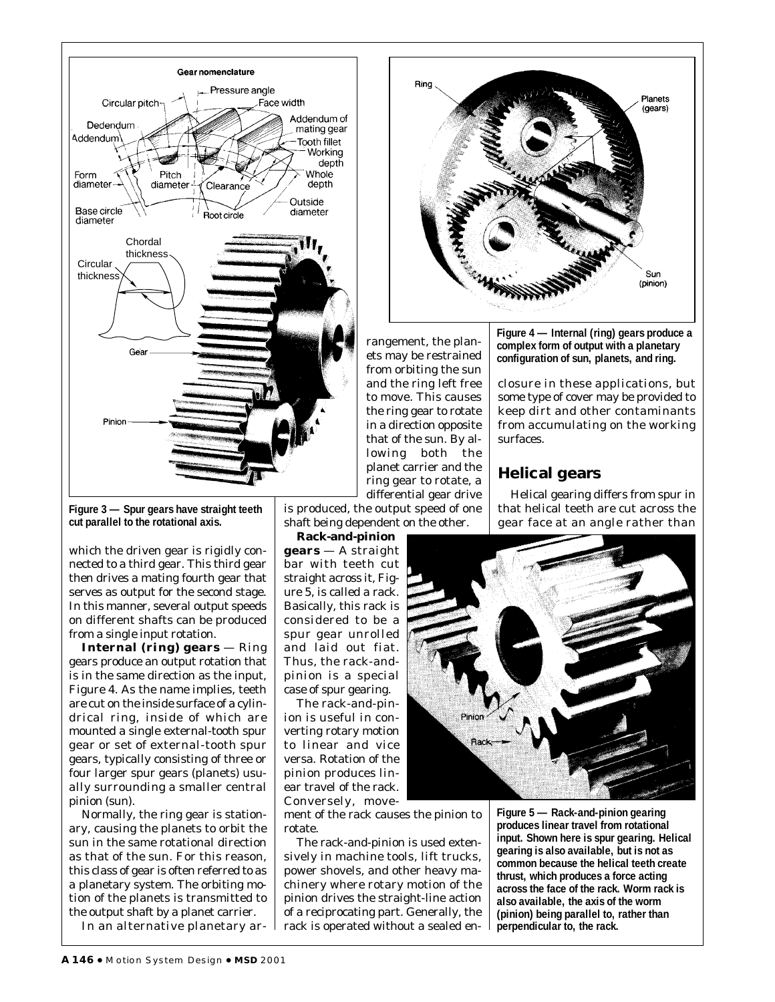

**Figure 3 — Spur gears have straight teeth cut parallel to the rotational axis.**

which the driven gear is rigidly connected to a third gear. This third gear then drives a mating fourth gear that serves as output for the second stage. In this manner, several output speeds on different shafts can be produced from a single input rotation.

**Internal (ring) gears** — Ring gears produce an output rotation that is in the same direction as the input, Figure 4. As the name implies, teeth are cut on the inside surface of a cylindrical ring, inside of which are mounted a single external-tooth spur gear or set of external-tooth spur gears, typically consisting of three or four larger spur gears (planets) usually surrounding a smaller central pinion (sun).

Normally, the ring gear is stationary, causing the planets to orbit the sun in the same rotational direction as that of the sun. For this reason, this class of gear is often referred to as a planetary system. The orbiting motion of the planets is transmitted to the output shaft by a planet carrier.

In an alternative planetary ar-

rangement, the planets may be restrained from orbiting the sun and the ring left free to move. This causes the ring gear to rotate in a direction opposite that of the sun. By allowing both the planet carrier and the ring gear to rotate, a differential gear drive

is produced, the output speed of one shaft being dependent on the other.

**Rack-and-pinion gears** — A straight bar with teeth cut straight across it, Figure 5, is called a rack. Basically, this rack is considered to be a spur gear unrolled and laid out fiat. Thus, the rack-andpinion is a special case of spur gearing.

The rack-and-pinion is useful in converting rotary motion to linear and vice versa. Rotation of the pinion produces linear travel of the rack. Conversely, move-

ment of the rack causes the pinion to rotate.

The rack-and-pinion is used extensively in machine tools, lift trucks, power shovels, and other heavy machinery where rotary motion of the pinion drives the straight-line action of a reciprocating part. Generally, the rack is operated without a sealed en-



**Figure 4 — Internal (ring) gears produce a complex form of output with a planetary configuration of sun, planets, and ring.**

closure in these applications, but some type of cover may be provided to keep dirt and other contaminants from accumulating on the working surfaces.

# **Helical gears**

Helical gearing differs from spur in that helical teeth are cut across the gear face at an angle rather than



**Figure 5 — Rack-and-pinion gearing produces linear travel from rotational input. Shown here is spur gearing. Helical gearing is also available, but is not as common because the helical teeth create thrust, which produces a force acting across the face of the rack. Worm rack is also available, the axis of the worm (pinion) being parallel to, rather than perpendicular to, the rack.**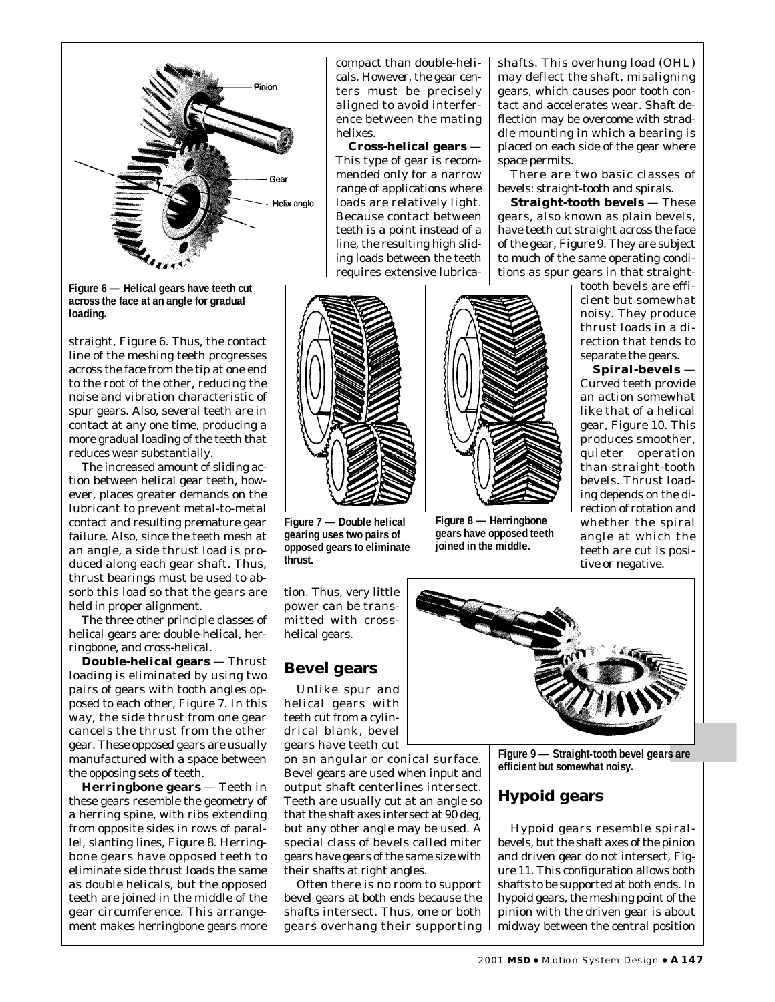

**Figure 6 — Helical gears have teeth cut across the face at an angle for gradual loading.**

straight, Figure 6. Thus, the contact line of the meshing teeth progresses across the face from the tip at one end to the root of the other, reducing the noise and vibration characteristic of spur gears. Also, several teeth are in contact at any one time, producing a more gradual loading of the teeth that reduces wear substantially.

The increased amount of sliding action between helical gear teeth, however, places greater demands on the lubricant to prevent metal-to-metal contact and resulting premature gear failure. Also, since the teeth mesh at an angle, a side thrust load is produced along each gear shaft. Thus, thrust bearings must be used to absorb this load so that the gears are held in proper alignment.

The three other principle classes of helical gears are: double-helical, herringbone, and cross-helical.

**Double-helical gears** — Thrust loading is eliminated by using two pairs of gears with tooth angles opposed to each other, Figure 7. In this way, the side thrust from one gear cancels the thrust from the other gear. These opposed gears are usually manufactured with a space between the opposing sets of teeth.

**Herringbone gears** — Teeth in these gears resemble the geometry of a herring spine, with ribs extending from opposite sides in rows of parallel, slanting lines, Figure 8. Herringbone gears have opposed teeth to eliminate side thrust loads the same as double helicals, but the opposed teeth are joined in the middle of the gear circumference. This arrangement makes herringbone gears more compact than double-helicals. However, the gear centers must be precisely aligned to avoid interference between the mating helixes.

**Cross-helical gears** — This type of gear is recommended only for a narrow range of applications where loads are relatively light. Because contact between teeth is a point instead of a line, the resulting high sliding loads between the teeth requires extensive lubricashafts. This overhung load (OHL) may deflect the shaft, misaligning gears, which causes poor tooth contact and accelerates wear. Shaft deflection may be overcome with straddle mounting in which a bearing is placed on each side of the gear where space permits.

There are two basic classes of bevels: straight-tooth and spirals.

**Straight-tooth bevels** — These gears, also known as plain bevels, have teeth cut straight across the face of the gear, Figure 9. They are subject to much of the same operating conditions as spur gears in that straight-

> tooth bevels are efficient but somewhat noisy. They produce thrust loads in a direction that tends to separate the gears.

> **Spiral-bevels** — Curved teeth provide an action somewhat like that of a helical gear, Figure 10. This produces smoother, quieter operation than straight-tooth bevels. Thrust loading depends on the direction of rotation and whether the spiral angle at which the teeth are cut is positive or negative.

**Figure 7 — Double helical gearing uses two pairs of opposed gears to eliminate thrust.**

**Figure 8 — Herringbone gears have opposed teeth joined in the middle.**

tion. Thus, very little power can be transmitted with crosshelical gears.

# **Bevel gears**

Unlike spur and helical gears with teeth cut from a cylindrical blank, bevel gears have teeth cut

on an angular or conical surface. Bevel gears are used when input and output shaft centerlines intersect. Teeth are usually cut at an angle so that the shaft axes intersect at 90 deg, but any other angle may be used. A special class of bevels called miter gears have gears of the same size with their shafts at right angles.

Often there is no room to support bevel gears at both ends because the shafts intersect. Thus, one or both gears overhang their supporting



**Figure 9 — Straight-tooth bevel gears are efficient but somewhat noisy.**

# **Hypoid gears**

Hypoid gears resemble spiralbevels, but the shaft axes of the pinion and driven gear do not intersect, Figure 11. This configuration allows both shafts to be supported at both ends. In hypoid gears, the meshing point of the pinion with the driven gear is about midway between the central position

2001 **MSD** ● Motion System Design ● **A147**

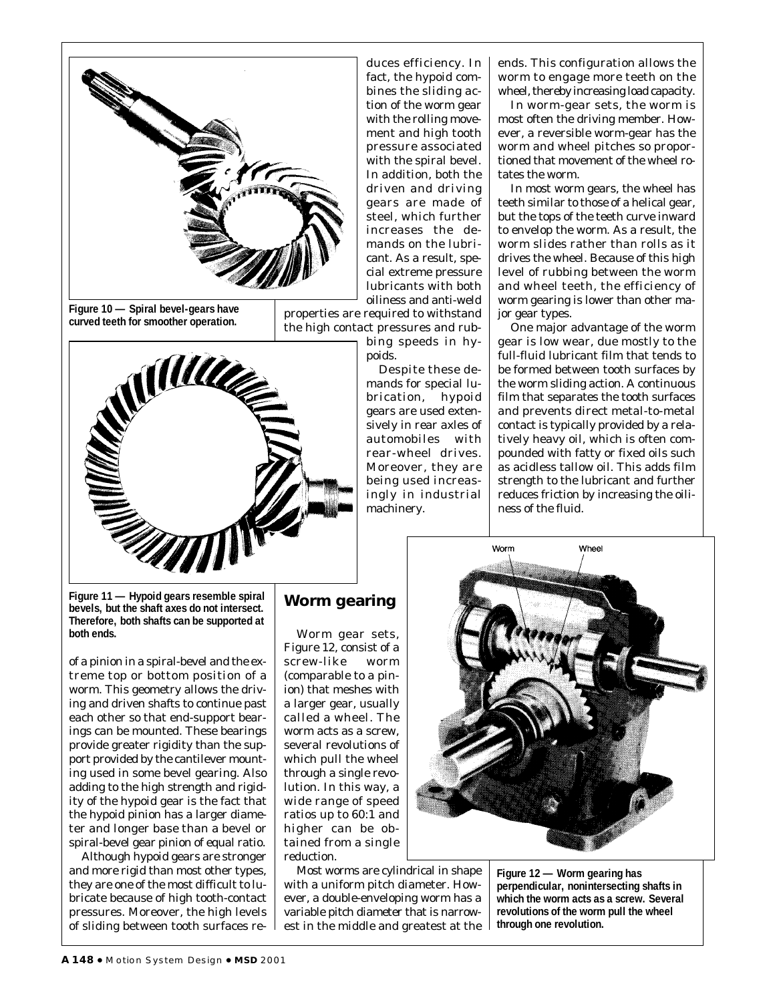

**Figure 10 — Spiral bevel-gears have curved teeth for smoother operation.**

duces efficiency. In fact, the hypoid combines the sliding action of the worm gear with the rolling movement and high tooth pressure associated with the spiral bevel. In addition, both the driven and driving gears are made of steel, which further increases the demands on the lubricant. As a result, special extreme pressure lubricants with both oiliness and anti-weld

properties are required to withstand the high contact pressures and rub-

bing speeds in hypoids.

Despite these demands for special lubrication, hypoid gears are used extensively in rear axles of automobiles with rear-wheel drives. Moreover, they are being used increasingly in industrial machinery.

ends. This configuration allows the worm to engage more teeth on the wheel, thereby increasing load capacity.

In worm-gear sets, the worm is most often the driving member. However, a reversible worm-gear has the worm and wheel pitches so proportioned that movement of the wheel rotates the worm.

In most worm gears, the wheel has teeth similar to those of a helical gear, but the tops of the teeth curve inward to envelop the worm. As a result, the worm slides rather than rolls as it drives the wheel. Because of this high level of rubbing between the worm and wheel teeth, the efficiency of worm gearing is lower than other major gear types.

One major advantage of the worm gear is low wear, due mostly to the full-fluid lubricant film that tends to be formed between tooth surfaces by the worm sliding action. A continuous film that separates the tooth surfaces and prevents direct metal-to-metal contact is typically provided by a relatively heavy oil, which is often compounded with fatty or fixed oils such as acidless tallow oil. This adds film strength to the lubricant and further reduces friction by increasing the oiliness of the fluid.



WWW

**Figure 11 — Hypoid gears resemble spiral bevels, but the shaft axes do not intersect. Therefore, both shafts can be supported at both ends.**

of a pinion in a spiral-bevel and the extreme top or bottom position of a worm. This geometry allows the driving and driven shafts to continue past each other so that end-support bearings can be mounted. These bearings provide greater rigidity than the support provided by the cantilever mounting used in some bevel gearing. Also adding to the high strength and rigidity of the hypoid gear is the fact that the hypoid pinion has a larger diameter and longer base than a bevel or spiral-bevel gear pinion of equal ratio.

Although hypoid gears are stronger and more rigid than most other types, they are one of the most difficult to lubricate because of high tooth-contact pressures. Moreover, the high levels of sliding between tooth surfaces re-

# **Worm gearing**

Worm gear sets, Figure 12, consist of a screw-like worm (comparable to a pinion) that meshes with a larger gear, usually called a wheel. The worm acts as a screw, several revolutions of which pull the wheel through a single revolution. In this way, a wide range of speed ratios up to 60:1 and higher can be obtained from a single reduction.

Most worms are cylindrical in shape with a uniform pitch diameter. However, a double-enveloping worm has a variable pitch diameter that is narrowest in the middle and greatest at the



**Figure 12 — Worm gearing has perpendicular, nonintersecting shafts in which the worm acts as a screw. Several revolutions of the worm pull the wheel through one revolution.**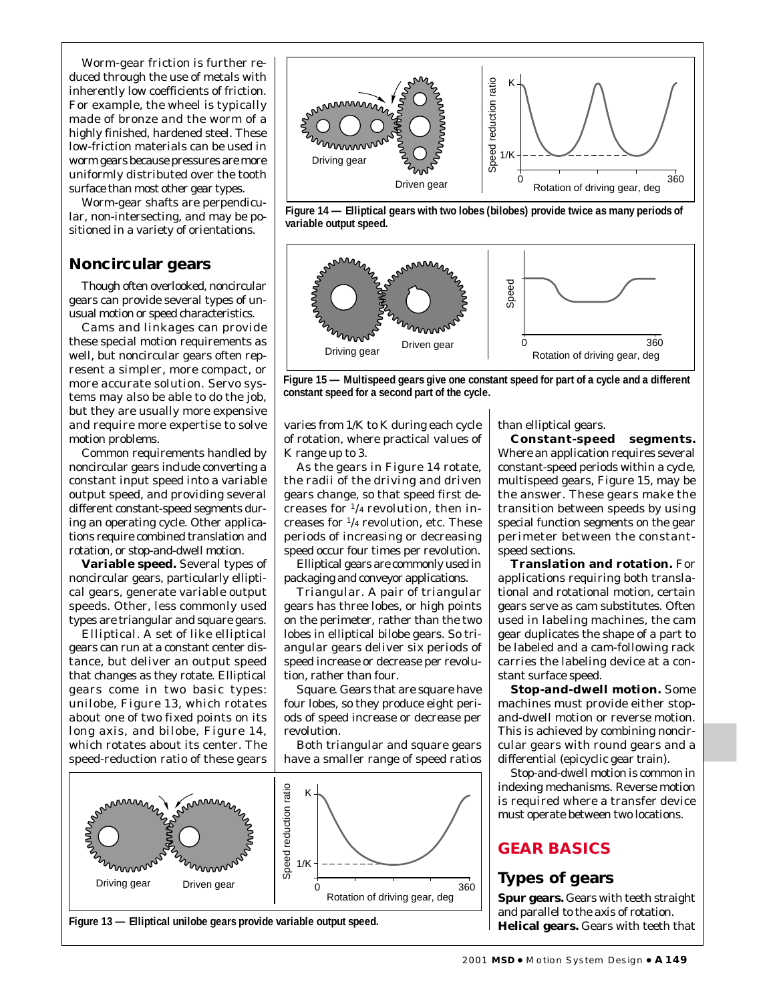Worm-gear friction is further reduced through the use of metals with inherently low coefficients of friction. For example, the wheel is typically made of bronze and the worm of a highly finished, hardened steel. These low-friction materials can be used in worm gears because pressures are more uniformly distributed over the tooth surface than most other gear types.

Worm-gear shafts are perpendicular, non-intersecting, and may be positioned in a variety of orientations.

#### **Noncircular gears**

Though often overlooked, noncircular gears can provide several types of unusual motion or speed characteristics.

Cams and linkages can provide these special motion requirements as well, but noncircular gears often represent a simpler, more compact, or more accurate solution. Servo systems may also be able to do the job, but they are usually more expensive and require more expertise to solve motion problems.

Common requirements handled by noncircular gears include converting a constant input speed into a variable output speed, and providing several different constant-speed segments during an operating cycle. Other applications require combined translation and rotation, or stop-and-dwell motion.

**Variable speed.** Several types of noncircular gears, particularly elliptical gears, generate variable output speeds. Other, less commonly used types are triangular and square gears.

*Elliptical.* A set of like elliptical gears can run at a constant center distance, but deliver an output speed that changes as they rotate. Elliptical gears come in two basic types: unilobe, Figure 13, which rotates about one of two fixed points on its long axis, and bilobe, Figure 14, which rotates about its center. The speed-reduction ratio of these gears







**Figure 15 — Multispeed gears give one constant speed for part of a cycle and a different constant speed for a second part of the cycle.**

varies from 1/K to K during each cycle of rotation, where practical values of K range up to 3.

As the gears in Figure 14 rotate, the radii of the driving and driven gears change, so that speed first decreases for  $\frac{1}{4}$  revolution, then increases for 1/4 revolution, etc. These periods of increasing or decreasing speed occur four times per revolution.

Elliptical gears are commonly used in packaging and conveyor applications.

*Triangular.* A pair of triangular gears has three lobes, or high points on the perimeter, rather than the two lobes in elliptical bilobe gears. So triangular gears deliver six periods of speed increase or decrease per revolution, rather than four.

*Square.* Gears that are square have four lobes, so they produce eight periods of speed increase or decrease per revolution.

Both triangular and square gears have a smaller range of speed ratios



than elliptical gears.

**Constant-speed segments.** Where an application requires several constant-speed periods within a cycle, multispeed gears, Figure 15, may be the answer. These gears make the transition between speeds by using special function segments on the gear perimeter between the constantspeed sections.

**Translation and rotation.** For applications requiring both translational and rotational motion, certain gears serve as cam substitutes. Often used in labeling machines, the cam gear duplicates the shape of a part to be labeled and a cam-following rack carries the labeling device at a constant surface speed.

**Stop-and-dwell motion.** Some machines must provide either stopand-dwell motion or reverse motion. This is achieved by combining noncircular gears with round gears and a differential (epicyclic gear train).

Stop-and-dwell motion is common in indexing mechanisms. Reverse motion is required where a transfer device must operate between two locations.

# **GEAR BASICS**

# **Types of gears**

**Spur gears.** Gears with teeth straight and parallel to the axis of rotation. **Helical gears.** Gears with teeth that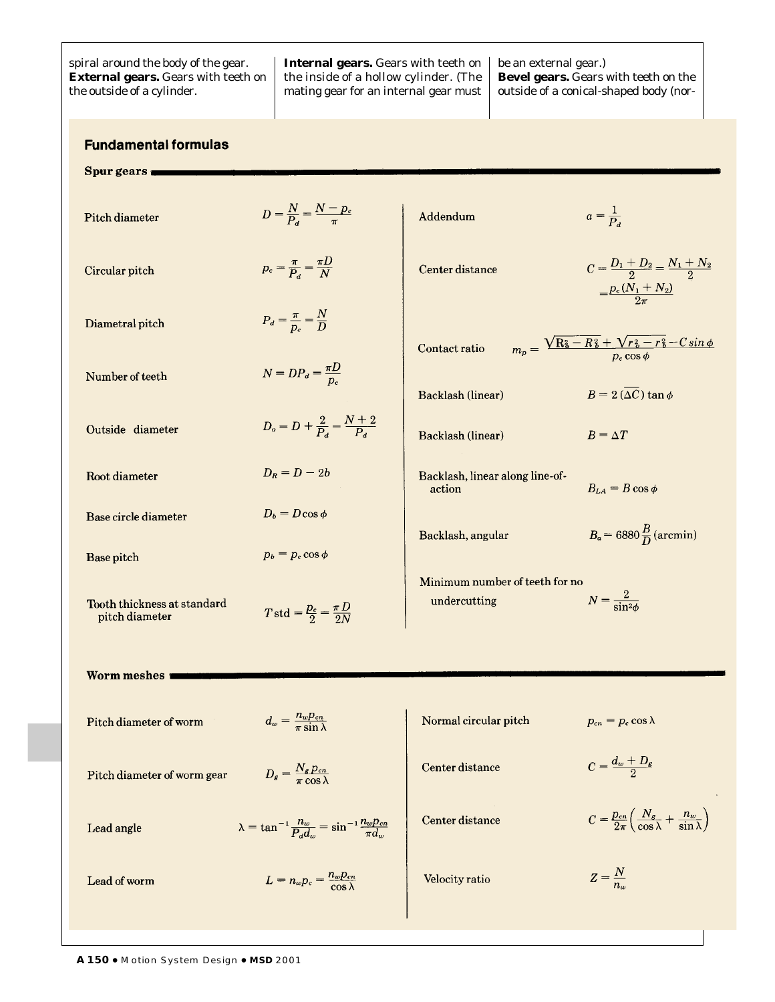| spiral around the body of the gear.<br><b>External gears.</b> Gears with teeth on<br>the outside of a cylinder. | <b>Internal gears.</b> Gears with teeth on $\vert$ be an external gear.)<br>the inside of a hollow cylinder. (The $\parallel$<br>mating gear for an internal gear must | <b>Bevel gears.</b> Gears with teeth on the<br>outside of a conical-shaped body (nor- |
|-----------------------------------------------------------------------------------------------------------------|------------------------------------------------------------------------------------------------------------------------------------------------------------------------|---------------------------------------------------------------------------------------|
|                                                                                                                 |                                                                                                                                                                        |                                                                                       |

# **Fundamental formulas**

Spur gears

| Pitch diameter                                              | $D = \frac{N}{P_{c}} = \frac{N-p_{c}}{\pi}$                                      | Addendum                                       | $a=\frac{1}{P_{\rm d}}$                                                                      |
|-------------------------------------------------------------|----------------------------------------------------------------------------------|------------------------------------------------|----------------------------------------------------------------------------------------------|
| Circular pitch                                              | $p_c = \frac{\pi}{P_a} = \frac{\pi D}{N}$                                        | Center distance                                | $C = \frac{D_1 + D_2}{2} = \frac{N_1 + N_2}{2}$<br>$=\frac{p_c(N_1+N_2)}{2\pi}$              |
| Diametral pitch                                             | $P_d = \frac{\pi}{p_c} = \frac{N}{D}$                                            | Contact ratio                                  | $m_p = \frac{\sqrt{R_0^2 - R_0^2 + \sqrt{r_0^2 - r_0^2 - C\sin\phi}}}{p_c\cos\phi}$          |
| Number of teeth                                             | $N = DP_d = \frac{\pi D}{p_c}$                                                   | Backlash (linear)                              | $B = 2(\overline{\Delta C}) \tan \phi$                                                       |
| Outside diameter                                            | $D_o = D + \frac{2}{P_a} = \frac{N+2}{P_a}$                                      | Backlash (linear)                              | $B = \Delta T$                                                                               |
| Root diameter                                               | $D_R = D - 2b$                                                                   | Backlash, linear along line-of-<br>action      | $B_{LA} = B \cos \phi$                                                                       |
| Base circle diameter                                        | $D_b = D \cos \phi$                                                              | Backlash, angular                              | $B_{\alpha}$ = 6880 $\frac{B}{D}$ (arcmin)                                                   |
| Base pitch<br>Tooth thickness at standard<br>pitch diameter | $p_b = p_c \cos \phi$<br>$T$ std = $\frac{p_c}{2} = \frac{\pi D}{2N}$            | Minimum number of teeth for no<br>undercutting | $N = \frac{2}{\sin^2 2b}$                                                                    |
| Worm meshes                                                 |                                                                                  |                                                |                                                                                              |
| Pitch diameter of worm                                      | $d_w = \frac{n_w p_{cn}}{\pi \sin \lambda}$                                      | Normal circular pitch                          | $p_{cn} = p_c \cos \lambda$                                                                  |
| Pitch diameter of worm gear                                 | $D_g = \frac{N_g p_{cn}}{\pi \cos \lambda}$                                      | Center distance                                | $C = \frac{d_w + D_g}{2}$                                                                    |
| Lead angle                                                  | $\lambda = \tan^{-1} \frac{n_w}{P_d d_w} = \sin^{-1} \frac{n_w p_{cn}}{\pi d_w}$ | Center distance                                | $C = \frac{p_{cn}}{2\pi} \left( \frac{N_g}{\cos \lambda} + \frac{n_w}{\sin \lambda} \right)$ |
| Lead of worm                                                | $L = n_w p_c = \frac{n_w p_{cn}}{\cos \lambda}$                                  | Velocity ratio                                 | $Z=\frac{N}{n_w}$                                                                            |
|                                                             |                                                                                  |                                                |                                                                                              |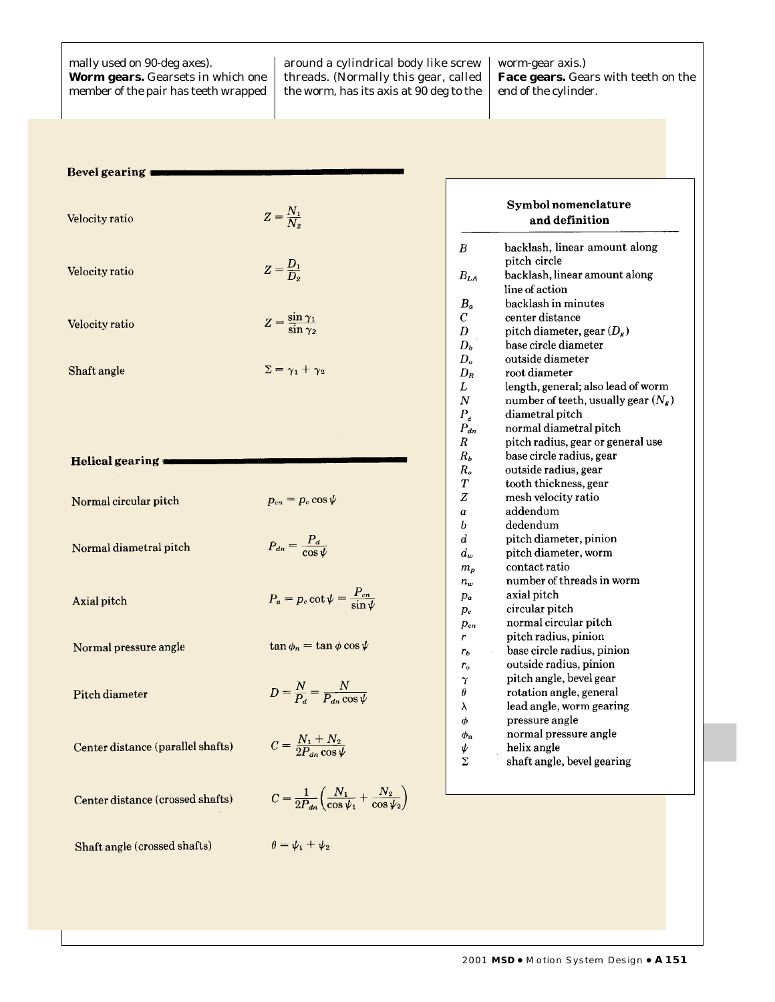mally used on 90-deg axes). **Worm gears.** Gearsets in which one member of the pair has teeth wrapped around a cylindrical body like screw threads. (Normally this gear, called the worm, has its axis at 90 deg to the worm-gear axis.) **Face gears.** Gears with teeth on the end of the cylinder.

| Bevel gearing |  |  |  |
|---------------|--|--|--|
|               |  |  |  |

| Velocity ratio | $Z=\frac{N_1}{N_2}$                       |
|----------------|-------------------------------------------|
| Velocity ratio | $Z = \frac{D_1}{D_2}$                     |
| Velocity ratio | $Z = \frac{\sin \gamma_1}{\sin \gamma_2}$ |
| Shaft angle    | $\Sigma = \gamma_1 + \gamma_2$            |

#### Helical gearing

| Normal circular pitch             | $p_{cn} = p_c \cos \psi$                                                                 |
|-----------------------------------|------------------------------------------------------------------------------------------|
| Normal diametral pitch            | $P_{dn} = \frac{P_d}{\cos \psi}$                                                         |
| Axial pitch                       | $P_a = p_c \cot \psi = \frac{P_{cn}}{\sin \psi}$                                         |
| Normal pressure angle             | $\tan \phi_n = \tan \phi \cos \psi$                                                      |
| Pitch diameter                    | $D = \frac{N}{P_d} = \frac{N}{P_d \cos \theta}$                                          |
| Center distance (parallel shafts) | $C = \frac{N_1 + N_2}{2P_1 \cos \psi}$                                                   |
| Center distance (crossed shafts)  | $C = \frac{1}{2P_{dn}} \left( \frac{N_1}{\cos \psi_1} + \frac{N_2}{\cos \psi_2} \right)$ |

Shaft angle (crossed shafts)

# $\frac{N_2}{\cos\psi_2}$

 $\theta = \psi_1 + \psi_2$ 

|                  | Symbol nomenclature<br>and definition |
|------------------|---------------------------------------|
| $\boldsymbol{B}$ | backlash, linear amount along         |
|                  | pitch circle                          |
| $B_{LA}$         | backlash, linear amount along         |
|                  | line of action                        |
| В.               | backlash in minutes                   |
| C                | center distance                       |
| D                | pitch diameter, gear $(D_{\kappa})$   |
| $D_b$            | base circle diameter                  |
| D <sub>o</sub>   | outside diameter                      |
| $D_R$            | root diameter                         |
| L                | length, general; also lead of worm    |
| Ν                | number of teeth, usually gear $(N_g)$ |
| $P_{d}$          | diametral pitch                       |
| $P_{dn}$         | normal diametral pitch                |
| R                | pitch radius, gear or general use     |
| $R_b$            | base circle radius, gear              |
| $R_o$            | outside radius, gear                  |
| Т                | tooth thickness, gear                 |
| Z                | mesh velocity ratio                   |
| a                | addendum                              |
| h                | dedendum                              |
| d                | pitch diameter, pinion                |
| $d_w$            | pitch diameter, worm                  |
| $m_{p}$          | contact ratio                         |
| $n_w$            | number of threads in worm             |
| $p_a$            | axial pitch                           |
| $p_c$            | circular pitch                        |
| $p_{cn}$         | normal circular pitch                 |
| r                | pitch radius, pinion                  |
| $r_h$            | base circle radius, pinion            |
| $r_{o}$          | outside radius, pinion                |
| $\gamma$         | pitch angle, bevel gear               |
| θ                | rotation angle, general               |
| λ                | lead angle, worm gearing              |
| φ                | pressure angle                        |
|                  | normal pressure angle                 |
| $\phi_{\rm n}$   | helix angle                           |
| ψ<br>Σ           | shaft angle, bevel gearing            |
|                  |                                       |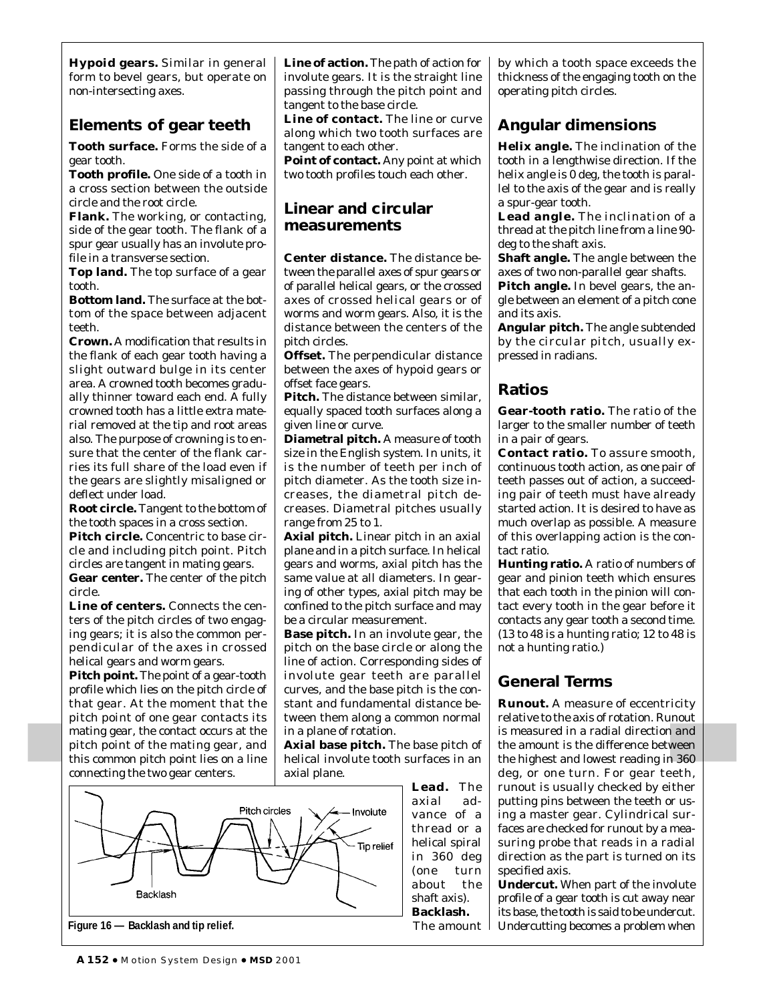**Hypoid gears.** Similar in general form to bevel gears, but operate on non-intersecting axes.

# **Elements of gear teeth**

**Tooth surface.** Forms the side of a gear tooth.

**Tooth profile.** One side of a tooth in a cross section between the outside circle and the root circle.

**Flank.** The working, or contacting, side of the gear tooth. The flank of a spur gear usually has an involute profile in a transverse section.

**Top land.** The top surface of a gear tooth.

**Bottom land.** The surface at the bottom of the space between adjacent teeth.

**Crown.** A modification that results in the flank of each gear tooth having a slight outward bulge in its center area. A crowned tooth becomes gradually thinner toward each end. A fully crowned tooth has a little extra material removed at the tip and root areas also. The purpose of crowning is to ensure that the center of the flank carries its full share of the load even if the gears are slightly misaligned or deflect under load.

**Root circle.** Tangent to the bottom of the tooth spaces in a cross section.

**Pitch circle.** Concentric to base circle and including pitch point. Pitch circles are tangent in mating gears. **Gear center.** The center of the pitch circle.

**Line of centers.** Connects the centers of the pitch circles of two engaging gears; it is also the common perpendicular of the axes in crossed helical gears and worm gears.

**Pitch point.** The point of a gear-tooth profile which lies on the pitch circle of that gear. At the moment that the pitch point of one gear contacts its mating gear, the contact occurs at the pitch point of the mating gear, and this common pitch point lies on a line connecting the two gear centers.

**Line of action.** The path of action for involute gears. It is the straight line passing through the pitch point and tangent to the base circle.

**Line of contact.** The line or curve along which two tooth surfaces are tangent to each other.

**Point of contact.** Any point at which two tooth profiles touch each other.

#### **Linear and circular measurements**

**Center distance.** The distance between the parallel axes of spur gears or of parallel helical gears, or the crossed axes of crossed helical gears or of worms and worm gears. Also, it is the distance between the centers of the pitch circles.

**Offset.** The perpendicular distance between the axes of hypoid gears or offset face gears.

**Pitch.** The distance between similar, equally spaced tooth surfaces along a given line or curve.

**Diametral pitch.** A measure of tooth size in the English system. In units, it is the number of teeth per inch of pitch diameter. As the tooth size increases, the diametral pitch decreases. Diametral pitches usually range from 25 to 1.

**Axial pitch.** Linear pitch in an axial plane and in a pitch surface. In helical gears and worms, axial pitch has the same value at all diameters. In gearing of other types, axial pitch may be confined to the pitch surface and may be a circular measurement.

**Base pitch.** In an involute gear, the pitch on the base circle or along the line of action. Corresponding sides of involute gear teeth are parallel curves, and the base pitch is the constant and fundamental distance between them along a common normal in a plane of rotation.

**Axial base pitch.** The base pitch of helical involute tooth surfaces in an axial plane.



by which a tooth space exceeds the thickness of the engaging tooth on the operating pitch circles.

# **Angular dimensions**

**Helix angle.** The inclination of the tooth in a lengthwise direction. If the helix angle is 0 deg, the tooth is parallel to the axis of the gear and is really a spur-gear tooth.

**Lead angle.** The inclination of a thread at the pitch line from a line 90 deg to the shaft axis.

**Shaft angle.** The angle between the axes of two non-parallel gear shafts.

**Pitch angle.** In bevel gears, the angle between an element of a pitch cone and its axis.

**Angular pitch.** The angle subtended by the circular pitch, usually expressed in radians.

# **Ratios**

**Gear-tooth ratio.** The ratio of the larger to the smaller number of teeth in a pair of gears.

**Contact ratio.** To assure smooth, continuous tooth action, as one pair of teeth passes out of action, a succeeding pair of teeth must have already started action. It is desired to have as much overlap as possible. A measure of this overlapping action is the contact ratio.

**Hunting ratio.** A ratio of numbers of gear and pinion teeth which ensures that each tooth in the pinion will contact every tooth in the gear before it contacts any gear tooth a second time. (13 to 48 is a hunting ratio; 12 to 48 is not a hunting ratio.)

# **General Terms**

**Runout.** A measure of eccentricity relative to the axis of rotation. Runout is measured in a radial direction and the amount is the difference between the highest and lowest reading in 360 deg, or one turn. For gear teeth, runout is usually checked by either putting pins between the teeth or using a master gear. Cylindrical surfaces are checked for runout by a measuring probe that reads in a radial direction as the part is turned on its specified axis.

**Undercut.** When part of the involute profile of a gear tooth is cut away near its base, the tooth is said to be undercut. Undercutting becomes a problem when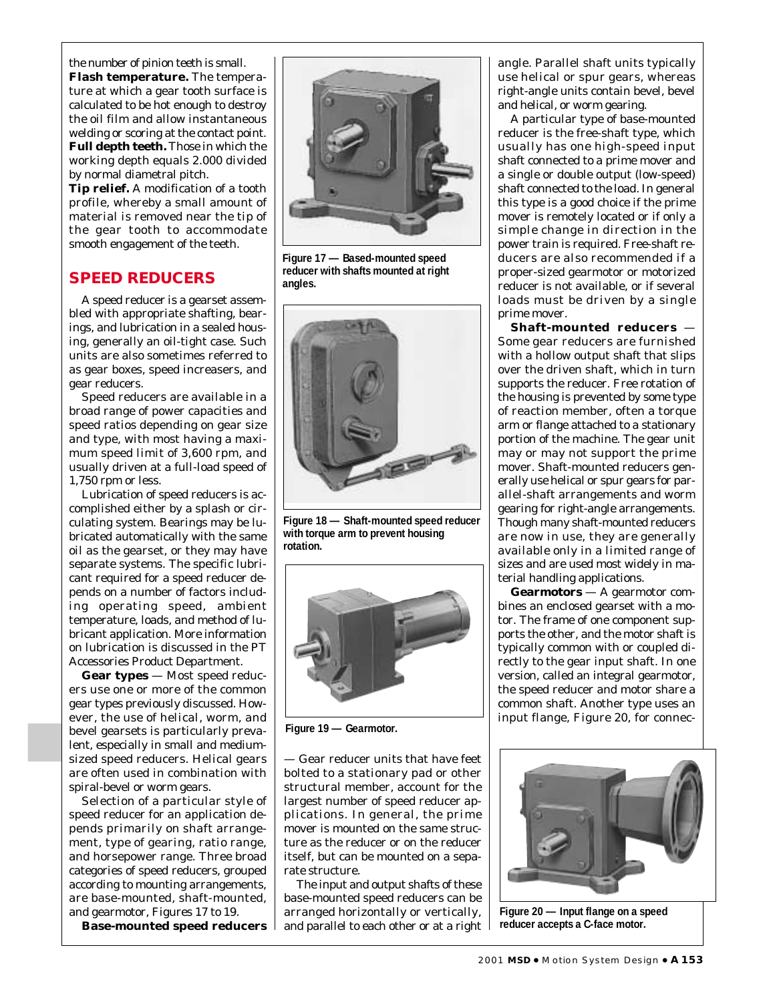the number of pinion teeth is small. **Flash temperature.** The temperature at which a gear tooth surface is calculated to be hot enough to destroy the oil film and allow instantaneous welding or scoring at the contact point. **Full depth teeth.** Those in which the working depth equals 2.000 divided by normal diametral pitch.

**Tip relief.** A modification of a tooth profile, whereby a small amount of material is removed near the tip of the gear tooth to accommodate smooth engagement of the teeth.

#### **SPEED REDUCERS**

A speed reducer is a gearset assembled with appropriate shafting, bearings, and lubrication in a sealed housing, generally an oil-tight case. Such units are also sometimes referred to as gear boxes, speed increasers, and gear reducers.

Speed reducers are available in a broad range of power capacities and speed ratios depending on gear size and type, with most having a maximum speed limit of 3,600 rpm, and usually driven at a full-load speed of 1,750 rpm or less.

Lubrication of speed reducers is accomplished either by a splash or circulating system. Bearings may be lubricated automatically with the same oil as the gearset, or they may have separate systems. The specific lubricant required for a speed reducer depends on a number of factors including operating speed, ambient temperature, loads, and method of lubricant application. More information on lubrication is discussed in the PT Accessories Product Department.

**Gear types** — Most speed reducers use one or more of the common gear types previously discussed. However, the use of helical, worm, and bevel gearsets is particularly prevalent, especially in small and mediumsized speed reducers. Helical gears are often used in combination with spiral-bevel or worm gears.

Selection of a particular style of speed reducer for an application depends primarily on shaft arrangement, type of gearing, ratio range, and horsepower range. Three broad categories of speed reducers, grouped according to mounting arrangements, are base-mounted, shaft-mounted, and gearmotor, Figures 17 to 19.

**Base-mounted speed reducers**



**Figure 17 — Based-mounted speed reducer with shafts mounted at right angles.**



**Figure 18 — Shaft-mounted speed reducer with torque arm to prevent housing rotation.**



**Figure 19 — Gearmotor.**

— Gear reducer units that have feet bolted to a stationary pad or other structural member, account for the largest number of speed reducer applications. In general, the prime mover is mounted on the same structure as the reducer or on the reducer itself, but can be mounted on a separate structure.

The input and output shafts of these base-mounted speed reducers can be arranged horizontally or vertically, and parallel to each other or at a right angle. Parallel shaft units typically use helical or spur gears, whereas right-angle units contain bevel, bevel and helical, or worm gearing.

A particular type of base-mounted reducer is the free-shaft type, which usually has one high-speed input shaft connected to a prime mover and a single or double output (low-speed) shaft connected to the load. In general this type is a good choice if the prime mover is remotely located or if only a simple change in direction in the power train is required. Free-shaft reducers are also recommended if a proper-sized gearmotor or motorized reducer is not available, or if several loads must be driven by a single prime mover.

**Shaft-mounted reducers** — Some gear reducers are furnished with a hollow output shaft that slips over the driven shaft, which in turn supports the reducer. Free rotation of the housing is prevented by some type of reaction member, often a torque arm or flange attached to a stationary portion of the machine. The gear unit may or may not support the prime mover. Shaft-mounted reducers generally use helical or spur gears for parallel-shaft arrangements and worm gearing for right-angle arrangements. Though many shaft-mounted reducers are now in use, they are generally available only in a limited range of sizes and are used most widely in material handling applications.

**Gearmotors** — A gearmotor combines an enclosed gearset with a motor. The frame of one component supports the other, and the motor shaft is typically common with or coupled directly to the gear input shaft. In one version, called an integral gearmotor, the speed reducer and motor share a common shaft. Another type uses an input flange, Figure 20, for connec-



**Figure 20 — Input flange on a speed reducer accepts a C-face motor.**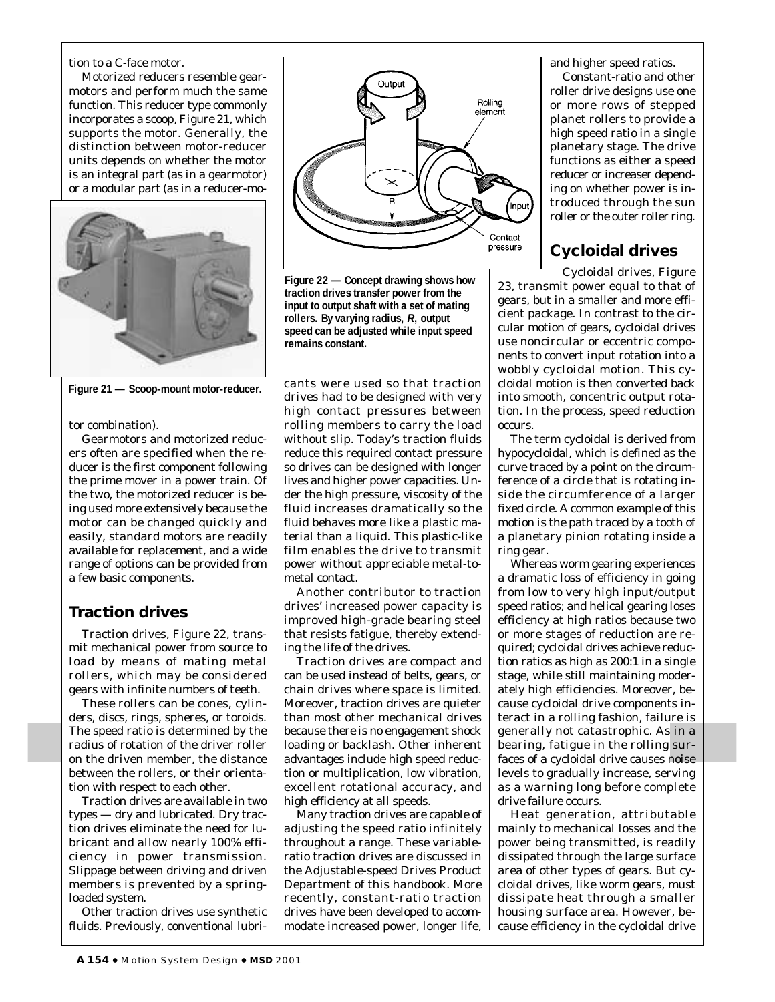tion to a C-face motor.

Motorized reducers resemble gearmotors and perform much the same function. This reducer type commonly incorporates a scoop, Figure 21, which supports the motor. Generally, the distinction between motor-reducer units depends on whether the motor is an integral part (as in a gearmotor) or a modular part (as in a reducer-mo-



**Figure 21 — Scoop-mount motor-reducer.**

tor combination).

Gearmotors and motorized reducers often are specified when the reducer is the first component following the prime mover in a power train. Of the two, the motorized reducer is being used more extensively because the motor can be changed quickly and easily, standard motors are readily available for replacement, and a wide range of options can be provided from a few basic components.

# **Traction drives**

Traction drives, Figure 22, transmit mechanical power from source to load by means of mating metal rollers, which may be considered gears with infinite numbers of teeth.

These rollers can be cones, cylinders, discs, rings, spheres, or toroids. The speed ratio is determined by the radius of rotation of the driver roller on the driven member, the distance between the rollers, or their orientation with respect to each other.

Traction drives are available in two types — dry and lubricated. Dry traction drives eliminate the need for lubricant and allow nearly 100% efficiency in power transmission. Slippage between driving and driven members is prevented by a springloaded system.

Other traction drives use synthetic fluids. Previously, conventional lubri-



**Figure 22 — Concept drawing shows how traction drives transfer power from the input to output shaft with a set of mating rollers. By varying radius,** *R***, output speed can be adjusted while input speed remains constant.**

cants were used so that traction drives had to be designed with very high contact pressures between rolling members to carry the load without slip. Today's traction fluids reduce this required contact pressure so drives can be designed with longer lives and higher power capacities. Under the high pressure, viscosity of the fluid increases dramatically so the fluid behaves more like a plastic material than a liquid. This plastic-like film enables the drive to transmit power without appreciable metal-tometal contact.

Another contributor to traction drives' increased power capacity is improved high-grade bearing steel that resists fatigue, thereby extending the life of the drives.

Traction drives are compact and can be used instead of belts, gears, or chain drives where space is limited. Moreover, traction drives are quieter than most other mechanical drives because there is no engagement shock loading or backlash. Other inherent advantages include high speed reduction or multiplication, low vibration, excellent rotational accuracy, and high efficiency at all speeds.

Many traction drives are capable of adjusting the speed ratio infinitely throughout a range. These variableratio traction drives are discussed in the Adjustable-speed Drives Product Department of this handbook. More recently, constant-ratio traction drives have been developed to accommodate increased power, longer life, and higher speed ratios.

Constant-ratio and other roller drive designs use one or more rows of stepped planet rollers to provide a high speed ratio in a single planetary stage. The drive functions as either a speed reducer or increaser depending on whether power is introduced through the sun roller or the outer roller ring.

# **Cycloidal drives**

Cycloidal drives, Figure 23, transmit power equal to that of gears, but in a smaller and more efficient package. In contrast to the circular motion of gears, cycloidal drives use noncircular or eccentric components to convert input rotation into a wobbly cycloidal motion. This cycloidal motion is then converted back into smooth, concentric output rotation. In the process, speed reduction occurs.

The term cycloidal is derived from hypocycloidal, which is defined as the curve traced by a point on the circumference of a circle that is rotating inside the circumference of a larger fixed circle. A common example of this motion is the path traced by a tooth of a planetary pinion rotating inside a ring gear.

Whereas worm gearing experiences a dramatic loss of efficiency in going from low to very high input/output speed ratios; and helical gearing loses efficiency at high ratios because two or more stages of reduction are required; cycloidal drives achieve reduction ratios as high as 200:1 in a single stage, while still maintaining moderately high efficiencies. Moreover, because cycloidal drive components interact in a rolling fashion, failure is generally not catastrophic. As in a bearing, fatigue in the rolling surfaces of a cycloidal drive causes noise levels to gradually increase, serving as a warning long before complete drive failure occurs.

Heat generation, attributable mainly to mechanical losses and the power being transmitted, is readily dissipated through the large surface area of other types of gears. But cycloidal drives, like worm gears, must dissipate heat through a smaller housing surface area. However, because efficiency in the cycloidal drive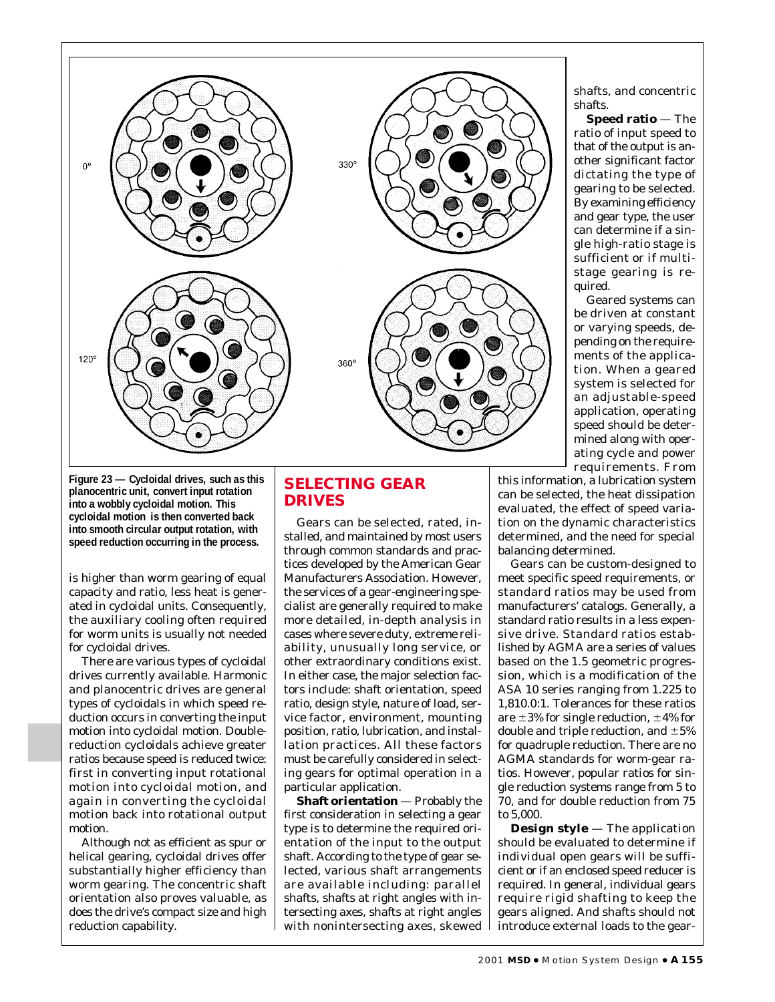

shafts, and concentric shafts.

**Speed ratio** — The ratio of input speed to that of the output is another significant factor dictating the type of gearing to be selected. By examining efficiency and gear type, the user can determine if a single high-ratio stage is sufficient or if multistage gearing is required.

Geared systems can be driven at constant or varying speeds, depending on the requirements of the application. When a geared system is selected for an adjustable-speed application, operating speed should be determined along with operating cycle and power requirements. From

this information, a lubrication system can be selected, the heat dissipation evaluated, the effect of speed variation on the dynamic characteristics determined, and the need for special balancing determined.

Gears can be custom-designed to meet specific speed requirements, or standard ratios may be used from manufacturers' catalogs. Generally, a standard ratio results in a less expensive drive. Standard ratios established by AGMA are a series of values based on the 1.5 geometric progression, which is a modification of the ASA 10 series ranging from 1.225 to 1,810.0:1. Tolerances for these ratios are  $\pm 3\%$  for single reduction,  $\pm 4\%$  for double and triple reduction, and  $\pm 5\%$ for quadruple reduction. There are no AGMA standards for worm-gear ratios. However, popular ratios for single reduction systems range from 5 to 70, and for double reduction from 75 to 5,000.

**Design style** — The application should be evaluated to determine if individual open gears will be sufficient or if an enclosed speed reducer is required. In general, individual gears require rigid shafting to keep the gears aligned. And shafts should not introduce external loads to the gear-

**Figure 23 — Cycloidal drives, such as this planocentric unit, convert input rotation into a wobbly cycloidal motion. This cycloidal motion is then converted back into smooth circular output rotation, with speed reduction occurring in the process.**

is higher than worm gearing of equal capacity and ratio, less heat is generated in cycloidal units. Consequently, the auxiliary cooling often required for worm units is usually not needed for cycloidal drives.

There are various types of cycloidal drives currently available. Harmonic and planocentric drives are general types of cycloidals in which speed reduction occurs in converting the input motion into cycloidal motion. Doublereduction cycloidals achieve greater ratios because speed is reduced twice: first in converting input rotational motion into cycloidal motion, and again in converting the cycloidal motion back into rotational output motion.

Although not as efficient as spur or helical gearing, cycloidal drives offer substantially higher efficiency than worm gearing. The concentric shaft orientation also proves valuable, as does the drive's compact size and high reduction capability.

#### **SELECTING GEAR DRIVES**

Gears can be selected, rated, installed, and maintained by most users through common standards and practices developed by the American Gear Manufacturers Association. However, the services of a gear-engineering specialist are generally required to make more detailed, in-depth analysis in cases where severe duty, extreme reliability, unusually long service, or other extraordinary conditions exist. In either case, the major selection factors include: shaft orientation, speed ratio, design style, nature of load, service factor, environment, mounting position, ratio, lubrication, and installation practices. All these factors must be carefully considered in selecting gears for optimal operation in a particular application.

**Shaft orientation** — Probably the first consideration in selecting a gear type is to determine the required orientation of the input to the output shaft. According to the type of gear selected, various shaft arrangements are available including: parallel shafts, shafts at right angles with intersecting axes, shafts at right angles with nonintersecting axes, skewed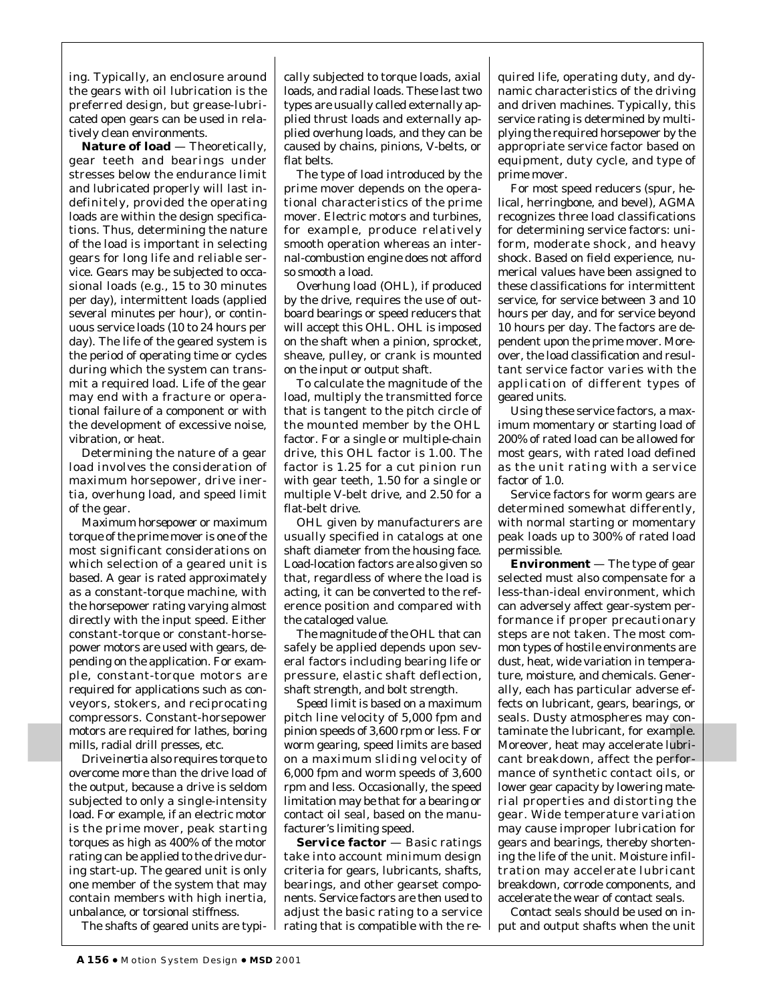ing. Typically, an enclosure around the gears with oil lubrication is the preferred design, but grease-lubricated open gears can be used in relatively clean environments.

**Nature of load** — Theoretically, gear teeth and bearings under stresses below the endurance limit and lubricated properly will last indefinitely, provided the operating loads are within the design specifications. Thus, determining the nature of the load is important in selecting gears for long life and reliable service. Gears may be subjected to occasional loads (e.g., 15 to 30 minutes per day), intermittent loads (applied several minutes per hour), or continuous service loads (10 to 24 hours per day). The life of the geared system is the period of operating time or cycles during which the system can transmit a required load. Life of the gear may end with a fracture or operational failure of a component or with the development of excessive noise, vibration, or heat.

Determining the nature of a gear load involves the consideration of maximum horsepower, drive inertia, overhung load, and speed limit of the gear.

*Maximum horsepower* or maximum torque of the prime mover is one of the most significant considerations on which selection of a geared unit is based. A gear is rated approximately as a constant-torque machine, with the horsepower rating varying almost directly with the input speed. Either constant-torque or constant-horsepower motors are used with gears, depending on the application. For example, constant-torque motors are required for applications such as conveyors, stokers, and reciprocating compressors. Constant-horsepower motors are required for lathes, boring mills, radial drill presses, etc.

*Drive inertia* also requires torque to overcome more than the drive load of the output, because a drive is seldom subjected to only a single-intensity load. For example, if an electric motor is the prime mover, peak starting torques as high as 400% of the motor rating can be applied to the drive during start-up. The geared unit is only one member of the system that may contain members with high inertia, unbalance, or torsional stiffness.

The shafts of geared units are typi-  $\frac{1}{2}$ 

cally subjected to torque loads, axial loads, and radial loads. These last two types are usually called externally applied thrust loads and externally applied overhung loads, and they can be caused by chains, pinions, V-belts, or flat belts.

The type of load introduced by the prime mover depends on the operational characteristics of the prime mover. Electric motors and turbines, for example, produce relatively smooth operation whereas an internal-combustion engine does not afford so smooth a load.

*Overhung load* (OHL), if produced by the drive, requires the use of outboard bearings or speed reducers that will accept this OHL. OHL is imposed on the shaft when a pinion, sprocket, sheave, pulley, or crank is mounted on the input or output shaft.

To calculate the magnitude of the load, multiply the transmitted force that is tangent to the pitch circle of the mounted member by the OHL factor. For a single or multiple-chain drive, this OHL factor is 1.00. The factor is 1.25 for a cut pinion run with gear teeth, 1.50 for a single or multiple V-belt drive, and 2.50 for a flat-belt drive.

OHL given by manufacturers are usually specified in catalogs at one shaft diameter from the housing face. Load-location factors are also given so that, regardless of where the load is acting, it can be converted to the reference position and compared with the cataloged value.

The magnitude of the OHL that can safely be applied depends upon several factors including bearing life or pressure, elastic shaft deflection, shaft strength, and bolt strength.

*Speed limit* is based on a maximum pitch line velocity of 5,000 fpm and pinion speeds of 3,600 rpm or less. For worm gearing, speed limits are based on a maximum sliding velocity of 6,000 fpm and worm speeds of 3,600 rpm and less. Occasionally, the speed limitation may be that for a bearing or contact oil seal, based on the manufacturer's limiting speed.

**Service factor** — Basic ratings take into account minimum design criteria for gears, lubricants, shafts, bearings, and other gearset components. Service factors are then used to adjust the basic rating to a service rating that is compatible with the re-

quired life, operating duty, and dynamic characteristics of the driving and driven machines. Typically, this service rating is determined by multiplying the required horsepower by the appropriate service factor based on equipment, duty cycle, and type of prime mover.

For most speed reducers (spur, helical, herringbone, and bevel), AGMA recognizes three load classifications for determining service factors: uniform, moderate shock, and heavy shock. Based on field experience, numerical values have been assigned to these classifications for intermittent service, for service between 3 and 10 hours per day, and for service beyond 10 hours per day. The factors are dependent upon the prime mover. Moreover, the load classification and resultant service factor varies with the application of different types of geared units.

Using these service factors, a maximum momentary or starting load of 200% of rated load can be allowed for most gears, with rated load defined as the unit rating with a service factor of 1.0.

Service factors for worm gears are determined somewhat differently, with normal starting or momentary peak loads up to 300% of rated load permissible.

**Environment** — The type of gear selected must also compensate for a less-than-ideal environment, which can adversely affect gear-system performance if proper precautionary steps are not taken. The most common types of hostile environments are dust, heat, wide variation in temperature, moisture, and chemicals. Generally, each has particular adverse effects on lubricant, gears, bearings, or seals. Dusty atmospheres may contaminate the lubricant, for example. Moreover, heat may accelerate lubricant breakdown, affect the performance of synthetic contact oils, or lower gear capacity by lowering material properties and distorting the gear. Wide temperature variation may cause improper lubrication for gears and bearings, thereby shortening the life of the unit. Moisture infiltration may accelerate lubricant breakdown, corrode components, and accelerate the wear of contact seals.

Contact seals should be used on input and output shafts when the unit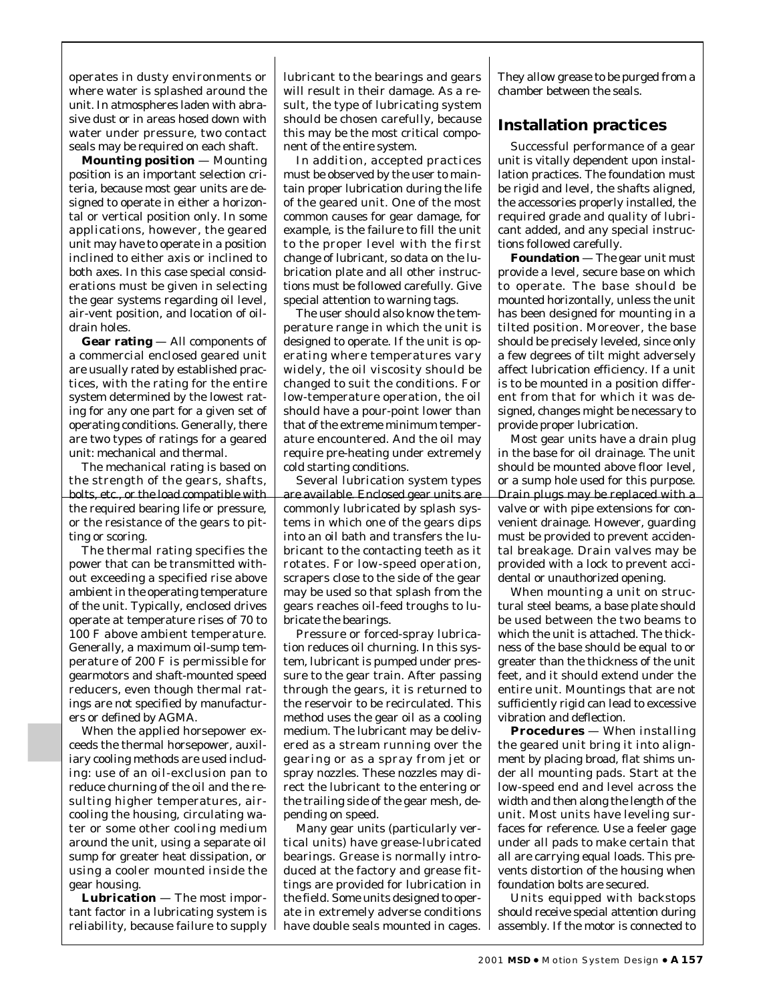operates in dusty environments or where water is splashed around the unit. In atmospheres laden with abrasive dust or in areas hosed down with water under pressure, two contact seals may be required on each shaft.

**Mounting position** — Mounting position is an important selection criteria, because most gear units are designed to operate in either a horizontal or vertical position only. In some applications, however, the geared unit may have to operate in a position inclined to either axis or inclined to both axes. In this case special considerations must be given in selecting the gear systems regarding oil level, air-vent position, and location of oildrain holes.

**Gear rating** — All components of a commercial enclosed geared unit are usually rated by established practices, with the rating for the entire system determined by the lowest rating for any one part for a given set of operating conditions. Generally, there are two types of ratings for a geared unit: mechanical and thermal.

The mechanical rating is based on the strength of the gears, shafts, bolts, etc., or the load compatible with the required bearing life or pressure, or the resistance of the gears to pitting or scoring.

The thermal rating specifies the power that can be transmitted without exceeding a specified rise above ambient in the operating temperature of the unit. Typically, enclosed drives operate at temperature rises of 70 to 100 F above ambient temperature. Generally, a maximum oil-sump temperature of 200 F is permissible for gearmotors and shaft-mounted speed reducers, even though thermal ratings are not specified by manufacturers or defined by AGMA.

When the applied horsepower exceeds the thermal horsepower, auxiliary cooling methods are used including: use of an oil-exclusion pan to reduce churning of the oil and the resulting higher temperatures, aircooling the housing, circulating water or some other cooling medium around the unit, using a separate oil sump for greater heat dissipation, or using a cooler mounted inside the gear housing.

**Lubrication** — The most important factor in a lubricating system is reliability, because failure to supply lubricant to the bearings and gears will result in their damage. As a result, the type of lubricating system should be chosen carefully, because this may be the most critical component of the entire system.

In addition, accepted practices must be observed by the user to maintain proper lubrication during the life of the geared unit. One of the most common causes for gear damage, for example, is the failure to fill the unit to the proper level with the first change of lubricant, so data on the lubrication plate and all other instructions must be followed carefully. Give special attention to warning tags.

The user should also know the temperature range in which the unit is designed to operate. If the unit is operating where temperatures vary widely, the oil viscosity should be changed to suit the conditions. For low-temperature operation, the oil should have a pour-point lower than that of the extreme minimum temperature encountered. And the oil may require pre-heating under extremely cold starting conditions.

Several lubrication system types are available. Enclosed gear units are commonly lubricated by splash systems in which one of the gears dips into an oil bath and transfers the lubricant to the contacting teeth as it rotates. For low-speed operation, scrapers close to the side of the gear may be used so that splash from the gears reaches oil-feed troughs to lubricate the bearings.

Pressure or forced-spray lubrication reduces oil churning. In this system, lubricant is pumped under pressure to the gear train. After passing through the gears, it is returned to the reservoir to be recirculated. This method uses the gear oil as a cooling medium. The lubricant may be delivered as a stream running over the gearing or as a spray from jet or spray nozzles. These nozzles may direct the lubricant to the entering or the trailing side of the gear mesh, depending on speed.

Many gear units (particularly vertical units) have grease-lubricated bearings. Grease is normally introduced at the factory and grease fittings are provided for lubrication in the field. Some units designed to operate in extremely adverse conditions have double seals mounted in cages.

They allow grease to be purged from a chamber between the seals.

#### **Installation practices**

Successful performance of a gear unit is vitally dependent upon installation practices. The foundation must be rigid and level, the shafts aligned, the accessories properly installed, the required grade and quality of lubricant added, and any special instructions followed carefully.

**Foundation** — The gear unit must provide a level, secure base on which to operate. The base should be mounted horizontally, unless the unit has been designed for mounting in a tilted position. Moreover, the base should be precisely leveled, since only a few degrees of tilt might adversely affect lubrication efficiency. If a unit is to be mounted in a position different from that for which it was designed, changes might be necessary to provide proper lubrication.

Most gear units have a drain plug in the base for oil drainage. The unit should be mounted above floor level, or a sump hole used for this purpose. Drain plugs may be replaced with a valve or with pipe extensions for convenient drainage. However, guarding must be provided to prevent accidental breakage. Drain valves may be provided with a lock to prevent accidental or unauthorized opening.

When mounting a unit on structural steel beams, a base plate should be used between the two beams to which the unit is attached. The thickness of the base should be equal to or greater than the thickness of the unit feet, and it should extend under the entire unit. Mountings that are not sufficiently rigid can lead to excessive vibration and deflection.

**Procedures** — When installing the geared unit bring it into alignment by placing broad, flat shims under all mounting pads. Start at the low-speed end and level across the width and then along the length of the unit. Most units have leveling surfaces for reference. Use a feeler gage under all pads to make certain that all are carrying equal loads. This prevents distortion of the housing when foundation bolts are secured.

Units equipped with backstops should receive special attention during assembly. If the motor is connected to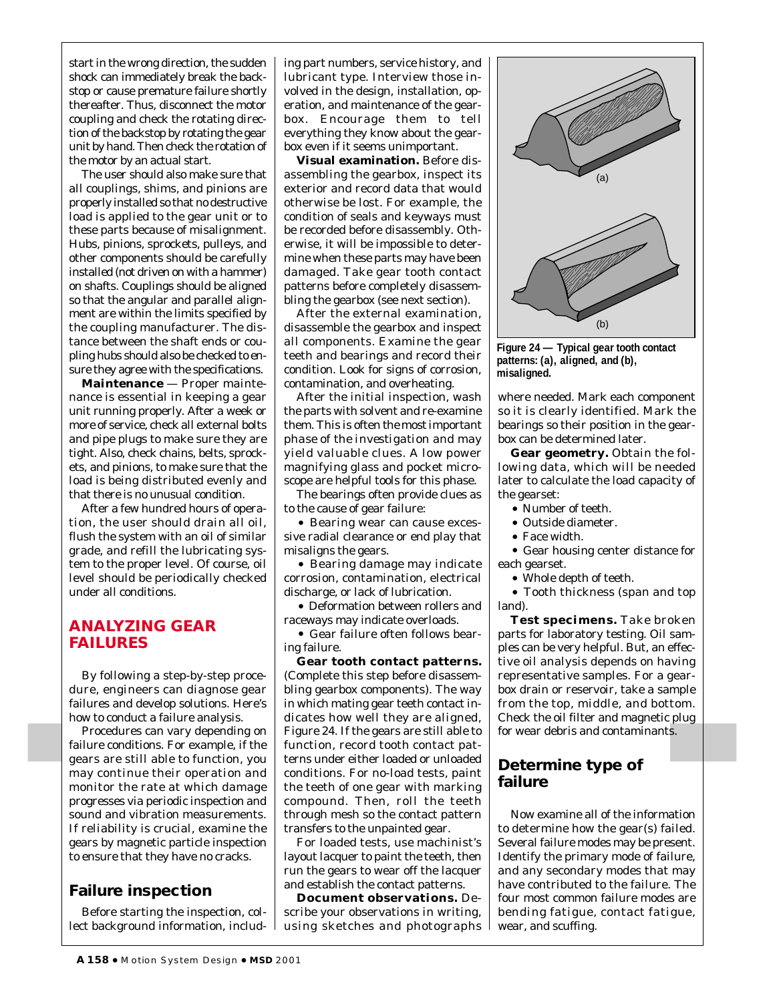start in the wrong direction, the sudden shock can immediately break the backstop or cause premature failure shortly thereafter. Thus, disconnect the motor coupling and check the rotating direction of the backstop by rotating the gear unit by hand. Then check the rotation of the motor by an actual start.

The user should also make sure that all couplings, shims, and pinions are properly installed so that no destructive load is applied to the gear unit or to these parts because of misalignment. Hubs, pinions, sprockets, pulleys, and other components should be carefully installed (not driven on with a hammer) on shafts. Couplings should be aligned so that the angular and parallel alignment are within the limits specified by the coupling manufacturer. The distance between the shaft ends or coupling hubs should also be checked to ensure they agree with the specifications.

**Maintenance** — Proper maintenance is essential in keeping a gear unit running properly. After a week or more of service, check all external bolts and pipe plugs to make sure they are tight. Also, check chains, belts, sprockets, and pinions, to make sure that the load is being distributed evenly and that there is no unusual condition.

After a few hundred hours of operation, the user should drain all oil, flush the system with an oil of similar grade, and refill the lubricating system to the proper level. Of course, oil level should be periodically checked under all conditions.

#### **ANALYZING GEAR FAILURES**

By following a step-by-step procedure, engineers can diagnose gear failures and develop solutions. Here's how to conduct a failure analysis.

Procedures can vary depending on failure conditions. For example, if the gears are still able to function, you may continue their operation and monitor the rate at which damage progresses via periodic inspection and sound and vibration measurements. If reliability is crucial, examine the gears by magnetic particle inspection to ensure that they have no cracks.

# **Failure inspection**

Before starting the inspection, collect background information, includ-

ing part numbers, service history, and lubricant type. Interview those involved in the design, installation, operation, and maintenance of the gearbox. Encourage them to tell everything they know about the gearbox even if it seems unimportant.

**Visual examination.** Before disassembling the gearbox, inspect its exterior and record data that would otherwise be lost. For example, the condition of seals and keyways must be recorded before disassembly. Otherwise, it will be impossible to determine when these parts may have been damaged. Take gear tooth contact patterns before completely disassembling the gearbox (see next section).

After the external examination, disassemble the gearbox and inspect all components. Examine the gear teeth and bearings and record their condition. Look for signs of corrosion, contamination, and overheating.

After the initial inspection, wash the parts with solvent and re-examine them. This is often *the most important phase of the investigation* and may yield valuable clues. A low power magnifying glass and pocket microscope are helpful tools for this phase.

The bearings often provide clues as to the cause of gear failure:

• Bearing wear can cause excessive radial clearance or end play that misaligns the gears.

• Bearing damage may indicate corrosion, contamination, electrical discharge, or lack of lubrication.

• Deformation between rollers and raceways may indicate overloads.

• Gear failure often follows bearing failure.

**Gear tooth contact patterns.** (Complete this step before disassembling gearbox components). The way in which mating gear teeth contact indicates how well they are aligned, Figure 24. If the gears are still able to function, record tooth contact patterns under either loaded or unloaded conditions. For no-load tests, paint the teeth of one gear with marking compound. Then, roll the teeth through mesh so the contact pattern transfers to the unpainted gear.

For loaded tests, use machinist's layout lacquer to paint the teeth, then run the gears to wear off the lacquer and establish the contact patterns.

**Document observations.** Describe your observations in writing, using sketches and photographs



**Figure 24 — Typical gear tooth contact patterns: (a), aligned, and (b), misaligned.** 

where needed. Mark each component so it is clearly identified. Mark the bearings so their position in the gearbox can be determined later.

**Gear geometry.** Obtain the following data, which will be needed later to calculate the load capacity of the gearset:

• Number of teeth.

- Outside diameter.
- Face width.

• Gear housing center distance for each gearset.

• Whole depth of teeth.

• Tooth thickness (span and top land).

**Test specimens.** Take broken parts for laboratory testing. Oil samples can be very helpful. But, an effective oil analysis depends on having representative samples. For a gearbox drain or reservoir, take a sample from the top, middle, and bottom. Check the oil filter and magnetic plug for wear debris and contaminants.

# **Determine type of failure**

Now examine all of the information to determine how the gear(s) failed. Several failure modes may be present. Identify the primary mode of failure, and any secondary modes that may have contributed to the failure. The four most common failure modes are bending fatigue, contact fatigue, wear, and scuffing.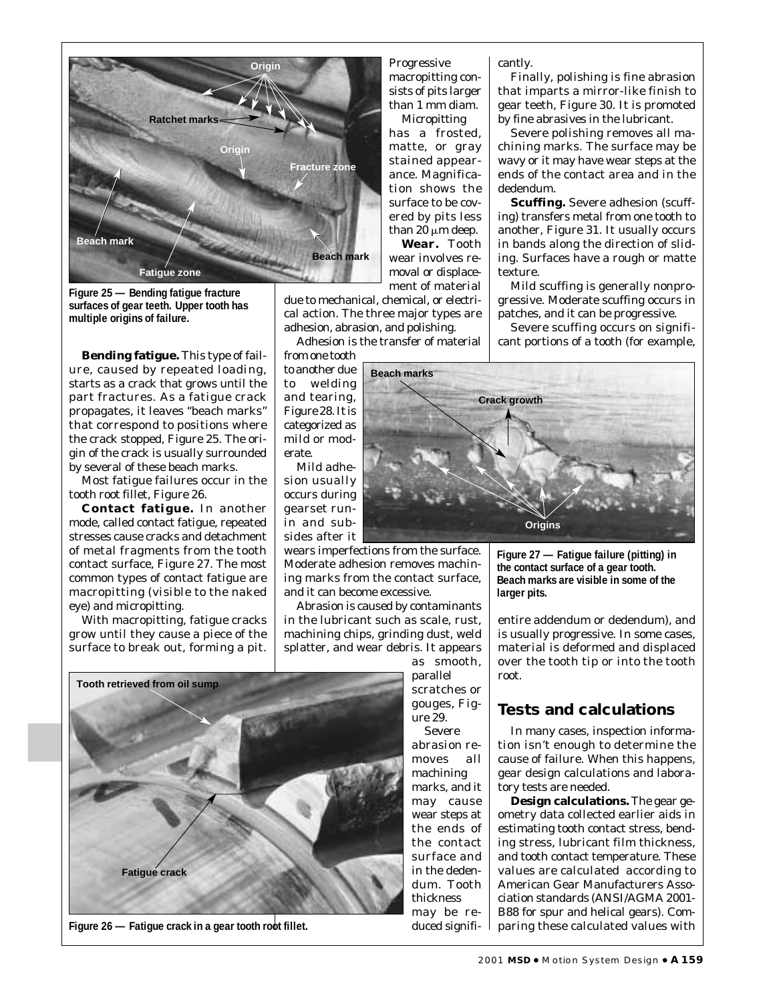

**Figure 25 — Bending fatigue fracture surfaces of gear teeth. Upper tooth has multiple origins of failure.**

**Bending fatigue.** This type of failure, caused by repeated loading, starts as a crack that grows until the part fractures. As a fatigue crack propagates, it leaves "beach marks" that correspond to positions where the crack stopped, Figure 25. The origin of the crack is usually surrounded by several of these beach marks.

Most fatigue failures occur in the tooth root fillet, Figure 26.

**Contact fatigue.** In another mode, called contact fatigue, repeated stresses cause cracks and detachment of metal fragments from the tooth contact surface, Figure 27. The most common types of contact fatigue are macropitting (visible to the naked eye) and micropitting.

With macropitting, fatigue cracks grow until they cause a piece of the surface to break out, forming a pit.

Progressive macropitting consists of pits larger than 1 mm diam. Micropitting

has a frosted, matte, or gray stained appearance. Magnification shows the surface to be covered by pits less than 20  $\mu$ m deep. **Wear.** Tooth wear involves removal or displacement of material

due to mechanical, chemical, or electrical action. The three major types are adhesion, abrasion, and polishing.

Adhesion is the transfer of material

from one tooth to another due to welding and tearing, Figure 28. It is categorized as mild or moderate.

Mild adhesion usually occurs during gearset runin and subsides after it

wears imperfections from the surface. Moderate adhesion removes machining marks from the contact surface, and it can become excessive.

Abrasion is caused by contaminants in the lubricant such as scale, rust, machining chips, grinding dust, weld splatter, and wear debris. It appears

> as smooth, parallel scratches or gouges, Figure 29.

Severe abrasion removes all machining marks, and it may cause wear steps at the ends of the contact surface and in the dedendum. Tooth thickness may be reduced significantly.

Finally, polishing is fine abrasion that imparts a mirror-like finish to gear teeth, Figure 30. It is promoted by fine abrasives in the lubricant.

Severe polishing removes all machining marks. The surface may be wavy or it may have wear steps at the ends of the contact area and in the dedendum.

**Scuffing.** Severe adhesion (scuffing) transfers metal from one tooth to another, Figure 31. It usually occurs in bands along the direction of sliding. Surfaces have a rough or matte texture.

Mild scuffing is generally nonprogressive. Moderate scuffing occurs in patches, and it can be progressive.

Severe scuffing occurs on significant portions of a tooth (for example,



**Figure 27 — Fatigue failure (pitting) in the contact surface of a gear tooth. Beach marks are visible in some of the larger pits.**

entire addendum or dedendum), and is usually progressive. In some cases, material is deformed and displaced over the tooth tip or into the tooth root.

#### **Tests and calculations**

In many cases, inspection information isn't enough to determine the cause of failure. When this happens, gear design calculations and laboratory tests are needed.

**Design calculations.** The gear geometry data collected earlier aids in estimating tooth contact stress, bending stress, lubricant film thickness, and tooth contact temperature. These values are calculated according to American Gear Manufacturers Association standards (ANSI/AGMA 2001- B88 for spur and helical gears). Comparing these calculated values with



Figure 26 – Fatigue crack in a gear tooth root fillet.